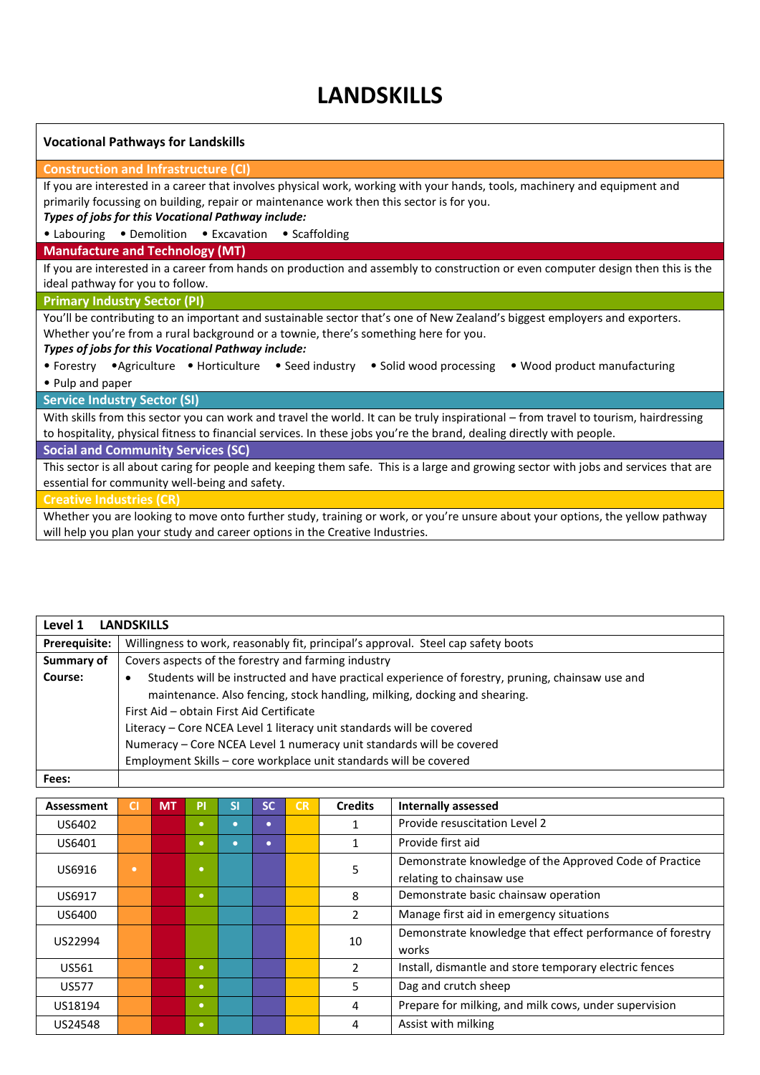## **LANDSKILLS**

| <b>Vocational Pathways for Landskills</b>                                                                                            |  |  |  |  |  |  |  |
|--------------------------------------------------------------------------------------------------------------------------------------|--|--|--|--|--|--|--|
| <b>Construction and Infrastructure (CI)</b>                                                                                          |  |  |  |  |  |  |  |
| If you are interested in a career that involves physical work, working with your hands, tools, machinery and equipment and           |  |  |  |  |  |  |  |
| primarily focussing on building, repair or maintenance work then this sector is for you.                                             |  |  |  |  |  |  |  |
| Types of jobs for this Vocational Pathway include:                                                                                   |  |  |  |  |  |  |  |
| • Labouring • Demolition • Excavation • Scaffolding                                                                                  |  |  |  |  |  |  |  |
| <b>Manufacture and Technology (MT)</b>                                                                                               |  |  |  |  |  |  |  |
| If you are interested in a career from hands on production and assembly to construction or even computer design then this is the     |  |  |  |  |  |  |  |
| ideal pathway for you to follow.                                                                                                     |  |  |  |  |  |  |  |
| <b>Primary Industry Sector (PI)</b>                                                                                                  |  |  |  |  |  |  |  |
| You'll be contributing to an important and sustainable sector that's one of New Zealand's biggest employers and exporters.           |  |  |  |  |  |  |  |
| Whether you're from a rural background or a townie, there's something here for you.                                                  |  |  |  |  |  |  |  |
| Types of jobs for this Vocational Pathway include:                                                                                   |  |  |  |  |  |  |  |
| • Forestry • Agriculture • Horticulture • Seed industry • Solid wood processing<br>• Wood product manufacturing                      |  |  |  |  |  |  |  |
| • Pulp and paper                                                                                                                     |  |  |  |  |  |  |  |
| <b>Service Industry Sector (SI)</b>                                                                                                  |  |  |  |  |  |  |  |
| With skills from this sector you can work and travel the world. It can be truly inspirational - from travel to tourism, hairdressing |  |  |  |  |  |  |  |
| to hospitality, physical fitness to financial services. In these jobs you're the brand, dealing directly with people.                |  |  |  |  |  |  |  |
| <b>Social and Community Services (SC)</b>                                                                                            |  |  |  |  |  |  |  |
| This sector is all about caring for people and keeping them safe. This is a large and growing sector with jobs and services that are |  |  |  |  |  |  |  |
| essential for community well-being and safety.                                                                                       |  |  |  |  |  |  |  |
| <b>Creative Industries (CR)</b>                                                                                                      |  |  |  |  |  |  |  |
| Whathauttan baddanta mara anta funtharatudu tualgina anumik anumika unauna ahautu anumantara tha uallau nathuau                      |  |  |  |  |  |  |  |

Whether you are looking to move onto further study, training or work, or you're unsure about your options, the yellow pathway will help you plan your study and career options in the Creative Industries.

| Level 1       | <b>LANDSKILLS</b>                                                                                |  |  |  |  |  |  |  |  |  |
|---------------|--------------------------------------------------------------------------------------------------|--|--|--|--|--|--|--|--|--|
| Prerequisite: | Willingness to work, reasonably fit, principal's approval. Steel cap safety boots                |  |  |  |  |  |  |  |  |  |
| Summary of    | Covers aspects of the forestry and farming industry                                              |  |  |  |  |  |  |  |  |  |
| Course:       | Students will be instructed and have practical experience of forestry, pruning, chainsaw use and |  |  |  |  |  |  |  |  |  |
|               | maintenance. Also fencing, stock handling, milking, docking and shearing.                        |  |  |  |  |  |  |  |  |  |
|               | First Aid - obtain First Aid Certificate                                                         |  |  |  |  |  |  |  |  |  |
|               | Literacy - Core NCEA Level 1 literacy unit standards will be covered                             |  |  |  |  |  |  |  |  |  |
|               | Numeracy - Core NCEA Level 1 numeracy unit standards will be covered                             |  |  |  |  |  |  |  |  |  |
|               | Employment Skills - core workplace unit standards will be covered                                |  |  |  |  |  |  |  |  |  |
| Fees:         |                                                                                                  |  |  |  |  |  |  |  |  |  |

| Assessment   | <b>CI</b> | <b>MT</b> | Pľ        | SI | SC.       | CR | <b>Credits</b> | <b>Internally assessed</b>                                                         |
|--------------|-----------|-----------|-----------|----|-----------|----|----------------|------------------------------------------------------------------------------------|
| US6402       |           |           | $\bullet$ |    | $\bullet$ |    |                | Provide resuscitation Level 2                                                      |
| US6401       |           |           | $\bullet$ |    | $\bullet$ |    |                | Provide first aid                                                                  |
| US6916       | ۰         |           | $\bullet$ |    |           |    | 5              | Demonstrate knowledge of the Approved Code of Practice<br>relating to chainsaw use |
| US6917       |           |           | $\bullet$ |    |           |    | 8              | Demonstrate basic chainsaw operation                                               |
| US6400       |           |           |           |    |           |    | $\mathcal{P}$  | Manage first aid in emergency situations                                           |
| US22994      |           |           |           |    |           |    | 10             | Demonstrate knowledge that effect performance of forestry<br>works                 |
| US561        |           |           | $\bullet$ |    |           |    | 2              | Install, dismantle and store temporary electric fences                             |
| <b>US577</b> |           |           | $\bullet$ |    |           |    | 5              | Dag and crutch sheep                                                               |
| US18194      |           |           | $\bullet$ |    |           |    | 4              | Prepare for milking, and milk cows, under supervision                              |
| US24548      |           |           | $\bullet$ |    |           |    | 4              | Assist with milking                                                                |